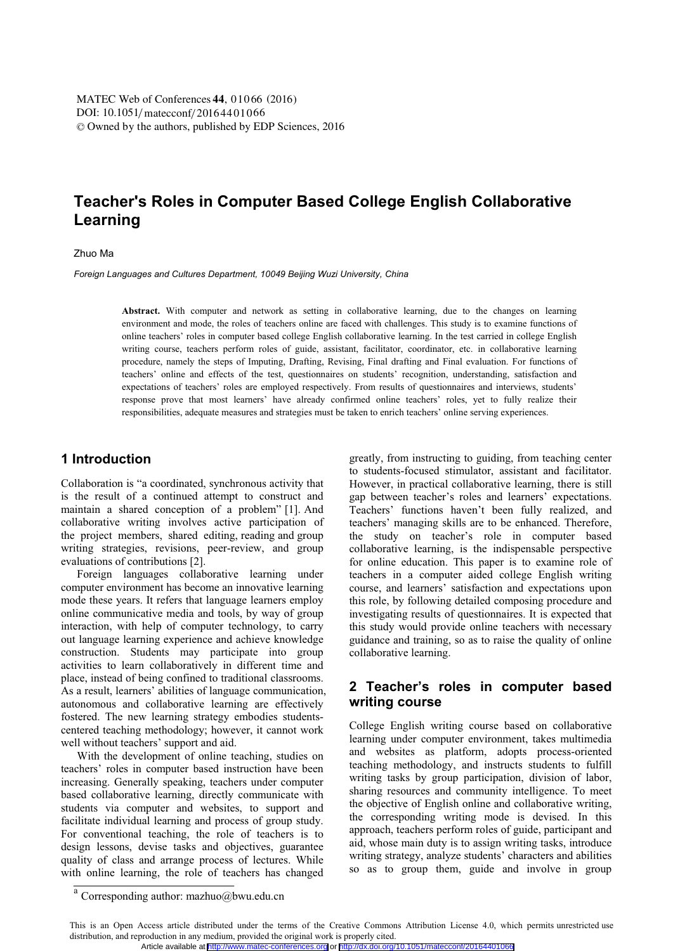DOI: 10.1051/matecconf/20164401066 © Owned by the authors, published by EDP Sciences, 2016 MATEC Web of Conferences 44, 01066 (2016)

# **Teacher's Roles in Computer Based College English Collaborative Learning**

#### Zhuo Ma

*Foreign Languages and Cultures Department, 10049 Beijing Wuzi University, China* 

Abstract. With computer and network as setting in collaborative learning, due to the changes on learning environment and mode, the roles of teachers online are faced with challenges. This study is to examine functions of online teachers' roles in computer based college English collaborative learning. In the test carried in college English writing course, teachers perform roles of guide, assistant, facilitator, coordinator, etc. in collaborative learning procedure, namely the steps of Imputing, Drafting, Revising, Final drafting and Final evaluation. For functions of teachers' online and effects of the test, questionnaires on students' recognition, understanding, satisfaction and expectations of teachers' roles are employed respectively. From results of questionnaires and interviews, students' response prove that most learners' have already confirmed online teachers' roles, yet to fully realize their responsibilities, adequate measures and strategies must be taken to enrich teachers' online serving experiences.

#### **1 Introduction**

Collaboration is "a coordinated, synchronous activity that is the result of a continued attempt to construct and maintain a shared conception of a problem" [1]. And collaborative writing involves active participation of the project members, shared editing, reading and group writing strategies, revisions, peer-review, and group evaluations of contributions [2].

Foreign languages collaborative learning under computer environment has become an innovative learning mode these years. It refers that language learners employ online communicative media and tools, by way of group interaction, with help of computer technology, to carry out language learning experience and achieve knowledge construction. Students may participate into group activities to learn collaboratively in different time and place, instead of being confined to traditional classrooms. As a result, learners' abilities of language communication, autonomous and collaborative learning are effectively fostered. The new learning strategy embodies studentscentered teaching methodology; however, it cannot work well without teachers' support and aid.

With the development of online teaching, studies on teachers' roles in computer based instruction have been increasing. Generally speaking, teachers under computer based collaborative learning, directly communicate with students via computer and websites, to support and facilitate individual learning and process of group study. For conventional teaching, the role of teachers is to design lessons, devise tasks and objectives, guarantee quality of class and arrange process of lectures. While with online learning, the role of teachers has changed

greatly, from instructing to guiding, from teaching center to students-focused stimulator, assistant and facilitator. However, in practical collaborative learning, there is still gap between teacher's roles and learners' expectations. Teachers' functions haven't been fully realized, and teachers' managing skills are to be enhanced. Therefore, the study on teacher's role in computer based collaborative learning, is the indispensable perspective for online education. This paper is to examine role of teachers in a computer aided college English writing course, and learners' satisfaction and expectations upon this role, by following detailed composing procedure and investigating results of questionnaires. It is expected that this study would provide online teachers with necessary guidance and training, so as to raise the quality of online collaborative learning.

### **2 Teacher's roles in computer based writing course**

College English writing course based on collaborative learning under computer environment, takes multimedia and websites as platform, adopts process-oriented teaching methodology, and instructs students to fulfill writing tasks by group participation, division of labor, sharing resources and community intelligence. To meet the objective of English online and collaborative writing, the corresponding writing mode is devised. In this approach, teachers perform roles of guide, participant and aid, whose main duty is to assign writing tasks, introduce writing strategy, analyze students' characters and abilities so as to group them, guide and involve in group

 $^{\rm a}$  Corresponding author: mazhuo@bwu.edu.cn

This is an Open Access article distributed under the terms of the Creative Commons Attribution License 4.0, which permits unrestricted use distribution, and reproduction in any medium, provided the original work is properly cited. Article available at <http://www.matec-conferences.org> or <http://dx.doi.org/10.1051/matecconf/20164401066>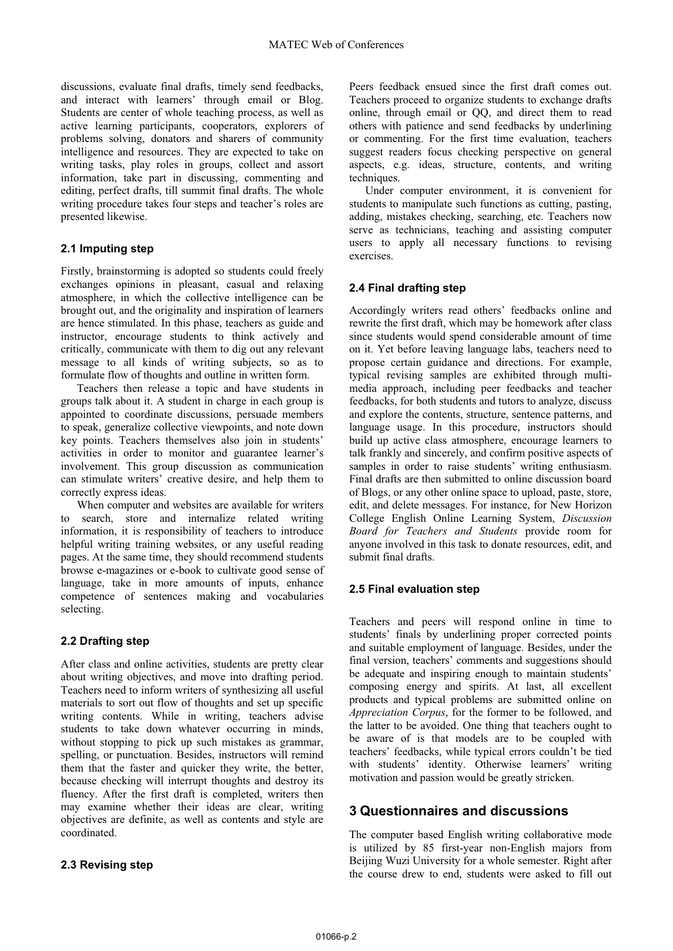discussions, evaluate final drafts, timely send feedbacks, and interact with learners' through email or Blog. Students are center of whole teaching process, as well as active learning participants, cooperators, explorers of problems solving, donators and sharers of community intelligence and resources. They are expected to take on writing tasks, play roles in groups, collect and assort information, take part in discussing, commenting and editing, perfect drafts, till summit final drafts. The whole writing procedure takes four steps and teacher's roles are presented likewise.

#### **2.1 Imputing step**

Firstly, brainstorming is adopted so students could freely exchanges opinions in pleasant, casual and relaxing atmosphere, in which the collective intelligence can be brought out, and the originality and inspiration of learners are hence stimulated. In this phase, teachers as guide and instructor, encourage students to think actively and critically, communicate with them to dig out any relevant message to all kinds of writing subjects, so as to formulate flow of thoughts and outline in written form.

Teachers then release a topic and have students in groups talk about it. A student in charge in each group is appointed to coordinate discussions, persuade members to speak, generalize collective viewpoints, and note down key points. Teachers themselves also join in students' activities in order to monitor and guarantee learner's involvement. This group discussion as communication can stimulate writers' creative desire, and help them to correctly express ideas.

When computer and websites are available for writers to search, store and internalize related writing information, it is responsibility of teachers to introduce helpful writing training websites, or any useful reading pages. At the same time, they should recommend students browse e-magazines or e-book to cultivate good sense of language, take in more amounts of inputs, enhance competence of sentences making and vocabularies selecting.

#### **2.2 Drafting step**

After class and online activities, students are pretty clear about writing objectives, and move into drafting period. Teachers need to inform writers of synthesizing all useful materials to sort out flow of thoughts and set up specific writing contents. While in writing, teachers advise students to take down whatever occurring in minds, without stopping to pick up such mistakes as grammar, spelling, or punctuation. Besides, instructors will remind them that the faster and quicker they write, the better, because checking will interrupt thoughts and destroy its fluency. After the first draft is completed, writers then may examine whether their ideas are clear, writing objectives are definite, as well as contents and style are coordinated.

#### **2.3 Revising step**

Peers feedback ensued since the first draft comes out. Teachers proceed to organize students to exchange drafts online, through email or QQ, and direct them to read others with patience and send feedbacks by underlining or commenting. For the first time evaluation, teachers suggest readers focus checking perspective on general aspects, e.g. ideas, structure, contents, and writing techniques.

Under computer environment, it is convenient for students to manipulate such functions as cutting, pasting, adding, mistakes checking, searching, etc. Teachers now serve as technicians, teaching and assisting computer users to apply all necessary functions to revising exercises.

#### **2.4 Final drafting step**

Accordingly writers read others' feedbacks online and rewrite the first draft, which may be homework after class since students would spend considerable amount of time on it. Yet before leaving language labs, teachers need to propose certain guidance and directions. For example, typical revising samples are exhibited through multimedia approach, including peer feedbacks and teacher feedbacks, for both students and tutors to analyze, discuss and explore the contents, structure, sentence patterns, and language usage. In this procedure, instructors should build up active class atmosphere, encourage learners to talk frankly and sincerely, and confirm positive aspects of samples in order to raise students' writing enthusiasm. Final drafts are then submitted to online discussion board of Blogs, or any other online space to upload, paste, store, edit, and delete messages. For instance, for New Horizon College English Online Learning System, *Discussion Board for Teachers and Students* provide room for anyone involved in this task to donate resources, edit, and submit final drafts.

#### **2.5 Final evaluation step**

Teachers and peers will respond online in time to students' finals by underlining proper corrected points and suitable employment of language. Besides, under the final version, teachers' comments and suggestions should be adequate and inspiring enough to maintain students' composing energy and spirits. At last, all excellent products and typical problems are submitted online on *Appreciation Corpus*, for the former to be followed, and the latter to be avoided. One thing that teachers ought to be aware of is that models are to be coupled with teachers' feedbacks, while typical errors couldn't be tied with students' identity. Otherwise learners' writing motivation and passion would be greatly stricken.

### **3 Questionnaires and discussions**

The computer based English writing collaborative mode is utilized by 85 first-year non-English majors from Beijing Wuzi University for a whole semester. Right after the course drew to end, students were asked to fill out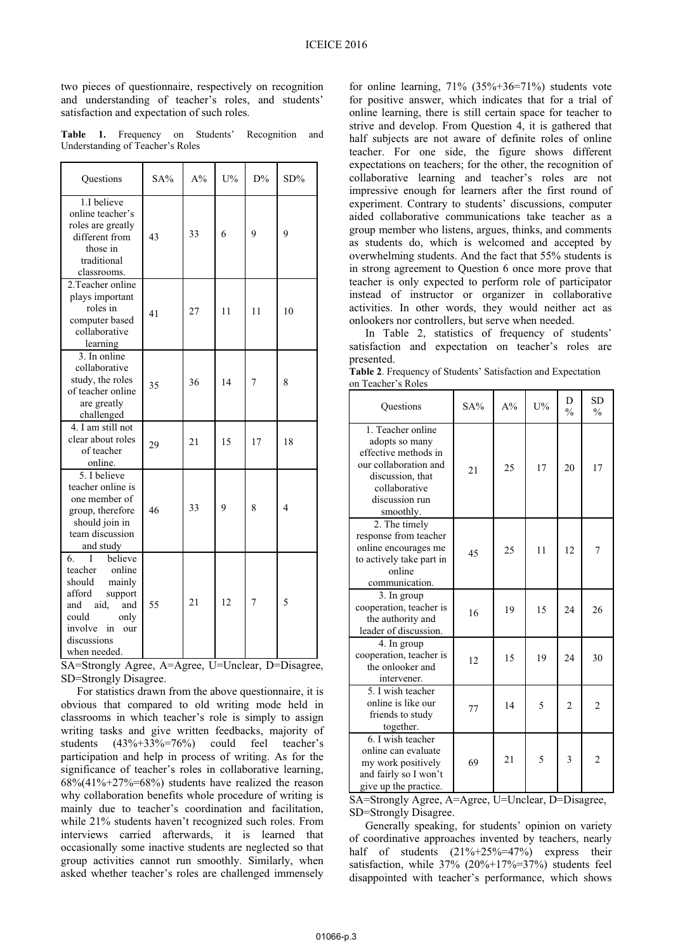two pieces of questionnaire, respectively on recognition and understanding of teacher's roles, and students' satisfaction and expectation of such roles.

**Table 1.** Frequency on Students' Recognition and Understanding of Teacher's Roles

| Questions                                                                                                                                                                      | $SA\%$ | $A\frac{0}{0}$ | $U\%$ | D% | $SD\%$         |
|--------------------------------------------------------------------------------------------------------------------------------------------------------------------------------|--------|----------------|-------|----|----------------|
| 1.I believe<br>online teacher's<br>roles are greatly<br>different from<br>those in<br>traditional<br>classrooms.                                                               | 43     | 33             | 6     | 9  | 9              |
| 2. Teacher online<br>plays important<br>roles in<br>computer based<br>collaborative<br>learning                                                                                | 41     | 27             | 11    | 11 | 10             |
| 3. In online<br>collaborative<br>study, the roles<br>of teacher online<br>are greatly<br>challenged                                                                            | 35     | 36             | 14    | 7  | 8              |
| 4. I am still not<br>clear about roles<br>of teacher<br>online.                                                                                                                | 29     | 21             | 15    | 17 | 18             |
| 5. I believe<br>teacher online is<br>one member of<br>group, therefore<br>should join in<br>team discussion<br>and study                                                       | 46     | 33             | 9     | 8  | $\overline{4}$ |
| 6.<br>L<br>believe<br>teacher<br>online<br>should<br>mainly<br>afford<br>support<br>aid,<br>and<br>and<br>could<br>only<br>involve<br>in<br>our<br>discussions<br>when needed. | 55     | 21             | 12    | 7  | 5              |

SA=Strongly Agree, A=Agree, U=Unclear, D=Disagree, SD=Strongly Disagree.

For statistics drawn from the above questionnaire, it is obvious that compared to old writing mode held in classrooms in which teacher's role is simply to assign writing tasks and give written feedbacks, majority of students (43%+33%=76%) could feel teacher's participation and help in process of writing. As for the significance of teacher's roles in collaborative learning,  $68\%(41\% + 27\% = 68\%)$  students have realized the reason why collaboration benefits whole procedure of writing is mainly due to teacher's coordination and facilitation, while 21% students haven't recognized such roles. From interviews carried afterwards, it is learned that occasionally some inactive students are neglected so that group activities cannot run smoothly. Similarly, when asked whether teacher's roles are challenged immensely

for online learning,  $71\%$   $(35\% + 36 = 71\%)$  students vote for positive answer, which indicates that for a trial of online learning, there is still certain space for teacher to strive and develop. From Question 4, it is gathered that half subjects are not aware of definite roles of online teacher. For one side, the figure shows different expectations on teachers; for the other, the recognition of collaborative learning and teacher's roles are not impressive enough for learners after the first round of experiment. Contrary to students' discussions, computer aided collaborative communications take teacher as a group member who listens, argues, thinks, and comments as students do, which is welcomed and accepted by overwhelming students. And the fact that 55% students is in strong agreement to Question 6 once more prove that teacher is only expected to perform role of participator instead of instructor or organizer in collaborative activities. In other words, they would neither act as onlookers nor controllers, but serve when needed.

In Table 2, statistics of frequency of students' satisfaction and expectation on teacher's roles are presented.

| Table 2. Frequency of Students' Satisfaction and Expectation |  |
|--------------------------------------------------------------|--|
| on Teacher's Roles                                           |  |

| Questions                                                                                                                                                | $SA\%$ | $A\%$ | $U\%$ | D<br>$\frac{0}{0}$ | <b>SD</b><br>$\frac{0}{0}$ |
|----------------------------------------------------------------------------------------------------------------------------------------------------------|--------|-------|-------|--------------------|----------------------------|
| 1. Teacher online<br>adopts so many<br>effective methods in<br>our collaboration and<br>discussion, that<br>collaborative<br>discussion run<br>smoothly. | 21     | 25    | 17    | 20                 | 17                         |
| 2. The timely<br>response from teacher<br>online encourages me<br>to actively take part in<br>online<br>communication.                                   | 45     | 25    | 11    | 12                 | 7                          |
| 3. In group<br>cooperation, teacher is<br>the authority and<br>leader of discussion.                                                                     | 16     | 19    | 15    | 24                 | 26                         |
| 4. In group<br>cooperation, teacher is<br>the onlooker and<br>intervener.                                                                                | 12     | 15    | 19    | 24                 | 30                         |
| 5. I wish teacher<br>online is like our<br>friends to study<br>together.                                                                                 | 77     | 14    | 5     | $\overline{2}$     | $\overline{c}$             |
| 6. I wish teacher<br>online can evaluate<br>my work positively<br>and fairly so I won't<br>give up the practice.                                         | 69     | 21    | 5     | 3                  | 2                          |

SA=Strongly Agree, A=Agree, U=Unclear, D=Disagree, SD=Strongly Disagree.

Generally speaking, for students' opinion on variety of coordinative approaches invented by teachers, nearly half of students  $(21\% + 25\% = 47\%)$  express their satisfaction, while 37% (20%+17%=37%) students feel disappointed with teacher's performance, which shows